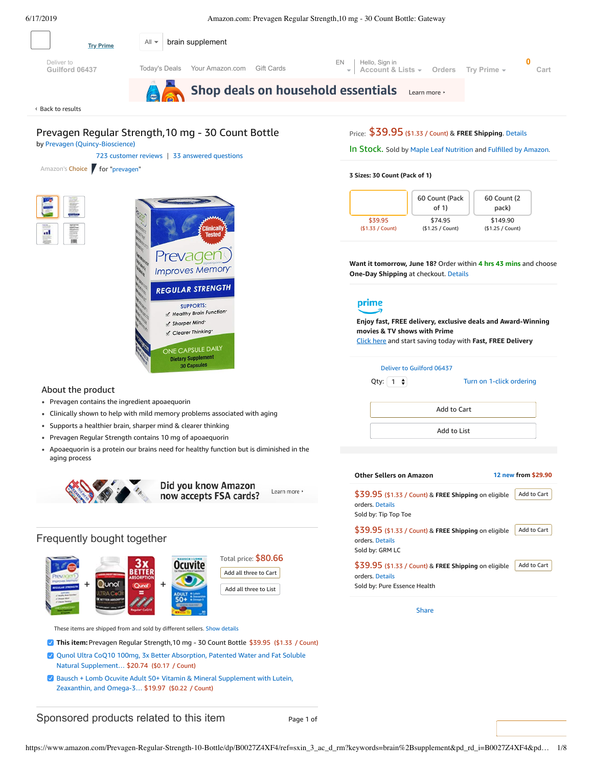<span id="page-0-0"></span>

Amazon's Choice for "[prevagen](https://www.amazon.com/s/ref=choice_dp_b?keywords=prevagen)"





#### **3 Sizes: 30 Count (Pack of 1)**



**Want it tomorrow, June 18?** Order within **4 hrs 43 mins** and choose **One-Day Shipping** at checkout. [Details](https://www.amazon.com/gp/help/customer/display.html/ref=ftinfo_dp_?ie=UTF8&nodeId=3510241&pop-up=1)



**Enjoy fast, FREE delivery, exclusive deals and Award-Winning movies & TV shows with Prime** Click here and start saving today with **Fast, FREE Delivery**

#### Deliver to Guilford 06437

Qty:  $\boxed{1}$   $\div$ 

Turn on 1-click [ordering](https://www.amazon.com/gp/product/utility/edit-one-click-pref.html/ref=dp_oc_signin?ie=UTF8&query=&returnPath=%2Fgp%2Fproduct%2FB0027Z4XF4)

Add to List

Add to Cart

### **Other Sellers on Amazon 12 [new](https://www.amazon.com/gp/offer-listing/B0027Z4XF4/ref=dp_olp_new_mbc?ie=UTF8&condition=new) from \$29.90** \$39.95 (\$1.33 / Count) & **FREE Shipping** on eligible orders. [Details](https://www.amazon.com/gp/help/customer/display.html/ref=mk_sss_dp_1?ie=UTF8&pop-up=1&nodeId=527692) Sold by: Tip Top Toe Add to [Cart](https://www.amazon.com/gp/item-dispatch/ref=dp_ebb_1?ie=UTF8®istryItemID.1=&submit.addToCart=addToCart®istryID.1=&offeringID.1=rIyIIxNZuLG0qP%252Bkce9BKEfVabpUJFzJd52LNClDUjld1fxTa%252F8ii0lX2le1%252Bnq%252Biuq6w6VPkAR60YxWoCJnOdKoKOtSAikXHer%252FbaNqFpn4R4Lni%252FTYVvnR%252BJN5yIwx9xVcIwH9fptlbGHpRiCON%252BBabeRPhAlE&storeID=hpc&nodeID=&signInToHUC=0&session-id=143-6729050-3493109&itemCount=1) \$39.95 (\$1.33 / Count) & **FREE Shipping** on eligible orders. [Details](https://www.amazon.com/gp/help/customer/display.html/ref=mk_sss_dp_1?ie=UTF8&pop-up=1&nodeId=527692) Sold by: GRM LC Add to [Cart](https://www.amazon.com/gp/item-dispatch/ref=dp_ebb_2?ie=UTF8®istryItemID.1=&submit.addToCart=addToCart®istryID.1=&offeringID.1=rIyIIxNZuLG0qP%252Bkce9BKEfVabpUJFzJXFJDzuRQ6m3Em7L6gljtXAMq9wyAkj%252BOrBLARkFY%252BhjYWGW40eipcyZi2ybSie5NTpaxrN0%252F8IHCeerZtQTtMPXbSctYYfC4AQzbzsLENPi45stLZQEV1s4Xi2KdWo68&storeID=hpc&nodeID=&signInToHUC=0&session-id=143-6729050-3493109&itemCount=1) \$39.95 (\$1.33 / Count) & **FREE Shipping** on eligible orders. [Details](https://www.amazon.com/gp/help/customer/display.html/ref=mk_sss_dp_1?ie=UTF8&pop-up=1&nodeId=527692) Add to [Cart](https://www.amazon.com/gp/item-dispatch/ref=dp_ebb_3?ie=UTF8®istryItemID.1=&submit.addToCart=addToCart®istryID.1=&offeringID.1=rIyIIxNZuLG0qP%252Bkce9BKEfVabpUJFzJI924fJvv%252FLAB%252FJ%252FbBwDD%252B54f7rNCiXaVI2B0m5wVMBag70i8usbpDcIegN5JZN%252BVEl8nTk1SiTo2797nOBhP13LhAI8nlWrSPZcuXldVnFJSFDQP0LZD4w%253D%253D&storeID=hpc&nodeID=&signInToHUC=0&session-id=143-6729050-3493109&itemCount=1)

Sold by: Pure Essence Health

[Share](mailto:?body=I%20want%20to%20recommend%20this%20product%20at%20Amazon.com%0A%0APrevagen%20Regular%20Strength%2C10%20mg%20-%2030%20Count%20Bottle%0Aby%20Maple%20Leaf%20Nutrition%0ALearn%20more%3A%20https%3A%2F%2Fwww.amazon.com%2Fdp%2FB0027Z4XF4%2Fref%3Dcm_sw_em_r_mt_dp_U_hq6bDbWW4934A&subject=I%20want%20to%20recommend%20this%20product%20on%20Amazon)

## About the product

- Prevagen contains the ingredient apoaequorin
- Clinically shown to help with mild memory problems associated with aging
- Supports a healthier brain, sharper mind & clearer thinking
- Prevagen Regular Strength contains 10 mg of apoaequorin
- Apoaequorin is a protein our brains need for healthy function but is diminished in the aging process



Did you know Amazon Learn more now accepts FSA cards?

## Frequently bought together



These items are shipped from and sold by different sellers. [Show details](javascript:void(0))

- **This item:** Prevagen Regular Strength,10 mg 30 Count Bottle \$39.95 (\$1.33 / Count)
- Qunol Ultra CoQ10 100mg, 3x Better Absorption, Patented Water and Fat Soluble Natural [Supplement…](https://www.amazon.com/Qunol-Absorption-Patented-Supplement-Antioxidant/dp/B0055OUOQQ/ref=pd_bxgy_121_2/143-6729050-3493109?_encoding=UTF8&pd_rd_i=B0055OUOQQ&pd_rd_r=75d72624-910c-11e9-87dc-e12861f2692e&pd_rd_w=7Izwp&pd_rd_wg=YCOYQ&pf_rd_p=a2006322-0bc0-4db9-a08e-d168c18ce6f0&pf_rd_r=W4WN4X9V3441APS5AYZT&psc=1&refRID=W4WN4X9V3441APS5AYZT) \$20.74 (\$0.17 / Count)
- Bausch + Lomb Ocuvite Adult 50+ Vitamin & Mineral [Supplement](https://www.amazon.com/Bausch-Lomb-Supplement-Zeaxanthin-90-Count/dp/B00DJUK8IM/ref=pd_bxgy_121_3/143-6729050-3493109?_encoding=UTF8&pd_rd_i=B00DJUK8IM&pd_rd_r=75d72624-910c-11e9-87dc-e12861f2692e&pd_rd_w=7Izwp&pd_rd_wg=YCOYQ&pf_rd_p=a2006322-0bc0-4db9-a08e-d168c18ce6f0&pf_rd_r=W4WN4X9V3441APS5AYZT&psc=1&refRID=W4WN4X9V3441APS5AYZT) with Lutein, Zeaxanthin, and Omega-3… \$19.97 (\$0.22 / Count)

Sponsored products related to this item Page 1 of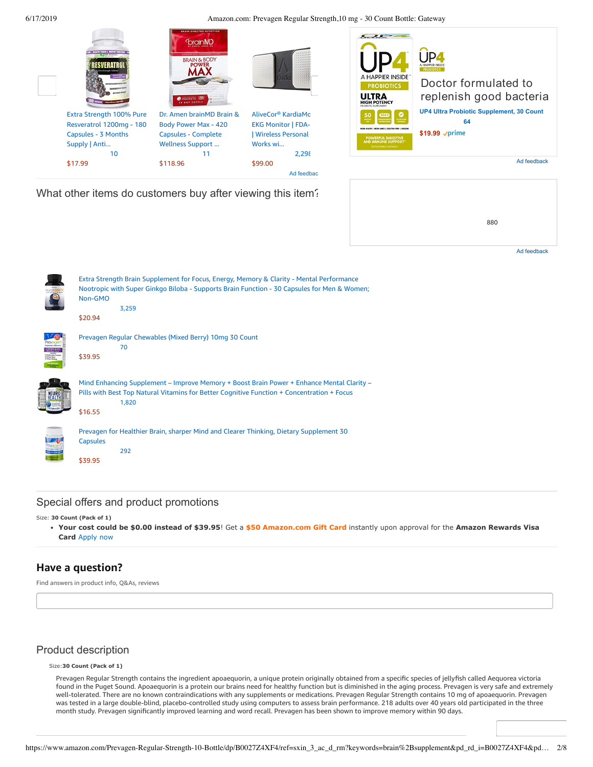

|                  | Extra Strength Brain Supplement for Focus, Energy, Memory & Clarity - Mental Performance<br>Nootropic with Super Ginkgo Biloba - Supports Brain Function - 30 Capsules for Men & Women;<br>Non-GMO<br>3,259<br>\$20.94 |
|------------------|------------------------------------------------------------------------------------------------------------------------------------------------------------------------------------------------------------------------|
|                  | Prevagen Regular Chewables (Mixed Berry) 10mg 30 Count<br>70<br>\$39.95                                                                                                                                                |
|                  | Mind Enhancing Supplement – Improve Memory + Boost Brain Power + Enhance Mental Clarity –<br>Pills with Best Top Natural Vitamins for Better Cognitive Function + Concentration + Focus<br>1,820<br>\$16.55            |
| <b>LAB STREN</b> | Prevagen for Healthier Brain, sharper Mind and Clearer Thinking, Dietary Supplement 30<br><b>Capsules</b><br>292<br>\$39.95                                                                                            |

## Special offers and product promotions

Size: **30 Count (Pack of 1)**

**[Your cost could be \\$0.00 instead of \\$39.95](https://www.amazon.com/gp/cobrandcard/marketing.html?pr=con321&inc=50gcUnrec&ts=52xpnwnxkf7nxkpfee6ajampzn0nkwv&dasin=B0027Z4XF4&plattr=math&place=detailpage&imp=0cb66685-f7c2-4c2a-974f-a92faf754bae)**! Get a **\$50 Amazon.com Gift Card** instantly upon approval for the **Amazon Rewards Visa Card** Apply now

# **Have a question?**

Find answers in product info, Q&As, reviews

# Product description

Size:**30 Count (Pack of 1)**

Prevagen Regular Strength contains the ingredient apoaequorin, a unique protein originally obtained from a specific species of jellyfish called Aequorea victoria found in the Puget Sound. Apoaequorin is a protein our brains need for healthy function but is diminished in the aging process. Prevagen is very safe and extremely well-tolerated. There are no known contraindications with any supplements or medications. Prevagen Regular Strength contains 10 mg of apoaequorin. Prevagen was tested in a large double-blind, placebo-controlled study using computers to assess brain performance. 218 adults over 40 years old participated in the three month study. Prevagen significantly improved learning and word recall. Prevagen has been shown to improve memory within 90 days.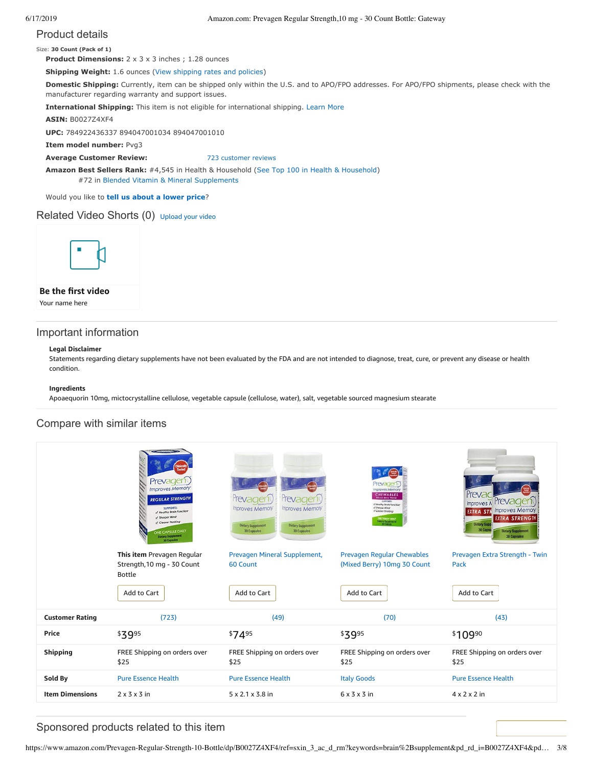# Product details

Size: **30 Count (Pack of 1)**

**Product Dimensions:**  $2 \times 3 \times 3$  inches; 1.28 ounces

**Shipping Weight:** 1.6 ounces [\(View shipping rates and policies\)](https://www.amazon.com/gp/help/seller/shipping.html/ref=dp_pd_shipping?ie=UTF8&asin=B0027Z4XF4&seller=ATVPDKIKX0DER)

**Domestic Shipping:** Currently, item can be shipped only within the U.S. and to APO/FPO addresses. For APO/FPO shipments, please check with the manufacturer regarding warranty and support issues.

**International Shipping:** This item is not eligible for international shipping. [Learn More](https://www.amazon.com/gp/help/customer/display.html?ie=UTF8&nodeId=201117930&pop-up=1)

**ASIN:** B0027Z4XF4

**UPC:** 784922436337 894047001034 894047001010

**Item model number:** Pvg3

**Average Customer Review:** [723 customer reviews](https://www.amazon.com/product-reviews/B0027Z4XF4/ref=acr_dpproductdetail_text?ie=UTF8&showViewpoints=1)

**Amazon Best Sellers Rank:** #4,545 in Health & Household [\(See Top 100 in Health & Household](https://www.amazon.com/gp/bestsellers/hpc/ref=pd_zg_ts_hpc)) #72 in [Blended Vitamin & Mineral Supplements](https://www.amazon.com/gp/bestsellers/hpc/3773931/ref=pd_zg_hrsr_hpc)

Would you like to **tell us about a lower price**?

## Related Video Shorts (0) [Upload](https://www.amazon.com/creatorhub/video/upload?productASIN=B0027Z4XF4&referringURL=ZHAvQjAwMjdaNFhGNA%3D%3D&ref=RVSW) your video



## **Be the first video**

Your name here

# Important information

#### **Legal Disclaimer**

Statements regarding dietary supplements have not been evaluated by the FDA and are not intended to diagnose, treat, cure, or prevent any disease or health condition.

#### **Ingredients**

Apoaequorin 10mg, mictocrystalline cellulose, vegetable capsule (cellulose, water), salt, vegetable sourced magnesium stearate

# Compare with similar items

|                        | Prevagen<br><b>Improves Memory</b><br><b>REGULAR STRENGTH</b><br>SUPPORTS:<br>L Healthy Brain Function<br>/ Sharper Mind-<br>Clearer Thinking<br>ONE CAPSULE DAILY<br><b>Dietary Supplement</b><br>30 Capsules | <i><b>Tevager</b></i><br><b>Tevage</b><br><b>Improves Memory</b><br><b>Improves Memory</b><br><b>Dietary Supplement</b><br><b>Dietary Supplement</b><br>30 Capsules<br>30 Capsules | nproves Memory<br>CHEWABLES<br><b>SUPPORTS</b><br>of Healthy Arath Function<br>of Sharper Mind-<br>Clocyer Thinking<br>ONE TABLET DAILY<br>Distany Supplement<br>CO Tablets | Preva<br>Improves T Prevagent<br><b>EXTRA STR</b> Improves Memory<br><b>EXTRA STRENGTH</b><br><b>Dietary Supr</b><br>30 Capsu<br><b>Dietary Supplement</b><br><b>30 Capsules</b> |  |
|------------------------|----------------------------------------------------------------------------------------------------------------------------------------------------------------------------------------------------------------|------------------------------------------------------------------------------------------------------------------------------------------------------------------------------------|-----------------------------------------------------------------------------------------------------------------------------------------------------------------------------|----------------------------------------------------------------------------------------------------------------------------------------------------------------------------------|--|
|                        | This item Prevagen Regular<br>Strength, 10 mg - 30 Count                                                                                                                                                       | Prevagen Mineral Supplement,<br>60 Count                                                                                                                                           | Prevagen Regular Chewables<br>(Mixed Berry) 10mg 30 Count                                                                                                                   | Prevagen Extra Strength - Twin<br>Pack                                                                                                                                           |  |
|                        | <b>Bottle</b>                                                                                                                                                                                                  |                                                                                                                                                                                    |                                                                                                                                                                             |                                                                                                                                                                                  |  |
|                        | Add to Cart                                                                                                                                                                                                    | Add to Cart                                                                                                                                                                        | Add to Cart                                                                                                                                                                 | Add to Cart                                                                                                                                                                      |  |
| <b>Customer Rating</b> | (723)                                                                                                                                                                                                          | (49)                                                                                                                                                                               | (70)                                                                                                                                                                        | (43)                                                                                                                                                                             |  |
| Price                  | \$3995                                                                                                                                                                                                         | \$7495                                                                                                                                                                             | \$3995                                                                                                                                                                      | \$10990                                                                                                                                                                          |  |
| <b>Shipping</b>        | FREE Shipping on orders over<br>\$25                                                                                                                                                                           | FREE Shipping on orders over<br>\$25                                                                                                                                               | FREE Shipping on orders over<br>\$25                                                                                                                                        | FREE Shipping on orders over<br>\$25                                                                                                                                             |  |
| Sold By                | <b>Pure Essence Health</b>                                                                                                                                                                                     | <b>Pure Essence Health</b>                                                                                                                                                         | <b>Italy Goods</b>                                                                                                                                                          | <b>Pure Essence Health</b>                                                                                                                                                       |  |
| <b>Item Dimensions</b> | $2 \times 3 \times 3$ in                                                                                                                                                                                       | 5 x 2.1 x 3.8 in                                                                                                                                                                   | $6 \times 3 \times 3$ in                                                                                                                                                    | $4 \times 2 \times 2$ in                                                                                                                                                         |  |

# Sponsored products related to this item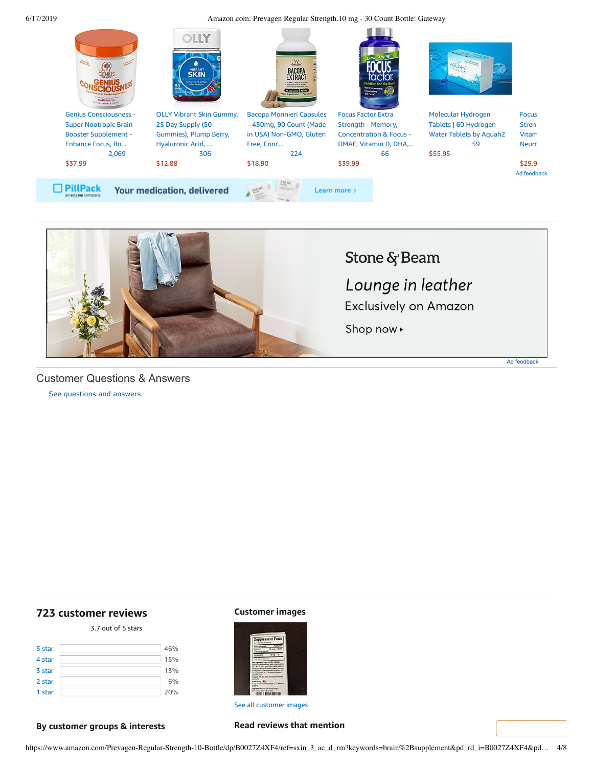



<span id="page-3-1"></span>Customer Questions & Answers

[See questions and answers](https://www.amazon.com/ask/questions/asin/B0027Z4XF4/ref=cm_cd_dp_lla_ql_ll)

# <span id="page-3-0"></span>**[723 customer](https://www.amazon.com/Prevagen-Regular-Strength-10-Bottle/product-reviews/B0027Z4XF4/ref=cm_cr_dp_d_show_all_top?ie=UTF8&reviewerType=all_reviews) reviews**

3.7 out of 5 [stars](javascript:void(0))

| 46% |
|-----|
| 15% |
| 13% |
| 6%  |
| 20% |
|     |

## **Customer images**



See all customer images

## **By customer groups & interests**

### **Read reviews that mention**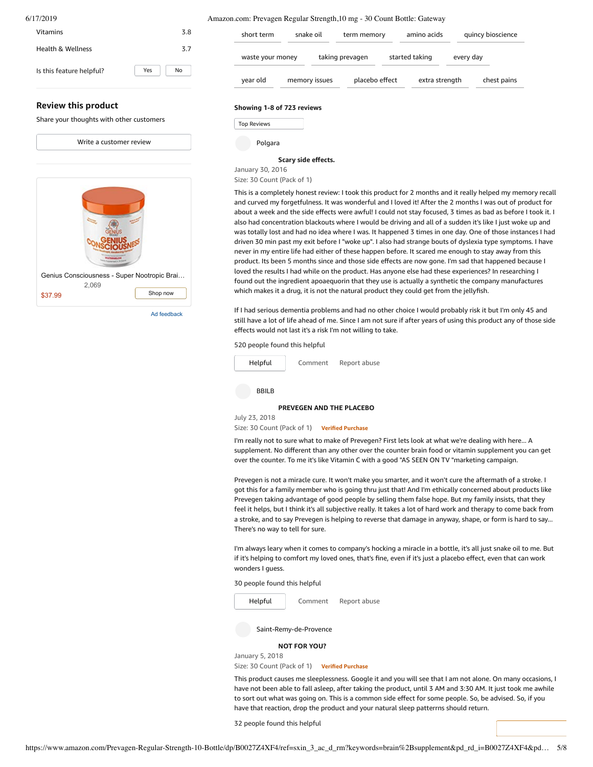| 6/17/2019                                |           | Amazon.com: Prevagen Regular Strength, 10 mg - 30 Count Bottle: Gateway |               |                 |                |           |                   |
|------------------------------------------|-----------|-------------------------------------------------------------------------|---------------|-----------------|----------------|-----------|-------------------|
| <b>Vitamins</b>                          | 3.8       | short term                                                              | snake oil     | term memory     | amino acids    |           | quincy bioscience |
| <b>Health &amp; Wellness</b>             | 3.7       | waste your money                                                        |               | taking prevagen | started taking | every day |                   |
| Is this feature helpful?                 | Yes<br>No | year old                                                                | memory issues | placebo effect  | extra strength |           | chest pains       |
| <b>Review this product</b>               |           | Showing 1-8 of 723 reviews                                              |               |                 |                |           |                   |
| Share your thoughts with other customers |           | <b>Top Reviews</b>                                                      |               |                 |                |           |                   |

| <b><i>EMELON</i></b>                        |
|---------------------------------------------|
| Genius Consciousness - Super Nootropic Brai |
| 2,069<br>Shop now<br>\$37.99                |

Write a [customer](https://www.amazon.com/review/create-review/ref=cm_cr_dp_d_wr_but_top?ie=UTF8&channel=glance-detail&asin=B0027Z4XF4) review

Ad feedback

Polgara

#### **Scary side [effects.](https://www.amazon.com/gp/customer-reviews/RHN8BI4I71M4G/ref=cm_cr_dp_d_rvw_ttl?ie=UTF8&ASIN=B0027Z4XF4)**

January 30, 2016 Size: 30 Count (Pack of 1)

This is a completely honest review: I took this product for 2 months and it really helped my memory recall and curved my forgetfulness. It was wonderful and I loved it! After the 2 months I was out of product for about a week and the side effects were awful! I could not stay focused, 3 times as bad as before I took it. I also had concentration blackouts where I would be driving and all of a sudden it's like I just woke up and was totally lost and had no idea where I was. It happened 3 times in one day. One of those instances I had driven 30 min past my exit before I "woke up". I also had strange bouts of dyslexia type symptoms. I have never in my entire life had either of these happen before. It scared me enough to stay away from this product. Its been 5 months since and those side effects are now gone. I'm sad that happened because I loved the results I had while on the product. Has anyone else had these experiences? In researching I found out the ingredient apoaequorin that they use is actually a synthetic the company manufactures which makes it a drug, it is not the natural product they could get from the jellyfish.

If I had serious dementia problems and had no other choice I would probably risk it but I'm only 45 and still have a lot of life ahead of me. Since I am not sure if after years of using this product any of those side effects would not last it's a risk I'm not willing to take.

520 people found this helpful



#### **[PREVEGEN](https://www.amazon.com/gp/customer-reviews/R3GQST2VPHOXUF/ref=cm_cr_dp_d_rvw_ttl?ie=UTF8&ASIN=B0027Z4XF4) AND THE PLACEBO**

July 23, 2018 Size: 30 Count (Pack of 1) **Verified Purchase**

I'm really not to sure what to make of Prevegen? First lets look at what we're dealing with here... A supplement. No different than any other over the counter brain food or vitamin supplement you can get over the counter. To me it's like Vitamin C with a good "AS SEEN ON TV "marketing campaign.

Prevegen is not a miracle cure. It won't make you smarter, and it won't cure the aftermath of a stroke. I got this for a family member who is going thru just that! And I'm ethically concerned about products like Prevegen taking advantage of good people by selling them false hope. But my family insists, that they feel it helps, but I think it's all subjective really. It takes a lot of hard work and therapy to come back from a stroke, and to say Prevegen is helping to reverse that damage in anyway, shape, or form is hard to say... There's no way to tell for sure.

I'm always leary when it comes to company's hocking a miracle in a bottle, it's all just snake oil to me. But if it's helping to comfort my loved ones, that's fine, even if it's just a placebo effect, even that can work wonders I guess.

30 people found this helpful



Size: 30 Count (Pack of 1) **Verified Purchase**

This product causes me sleeplessness. Google it and you will see that I am not alone. On many occasions, I have not been able to fall asleep, after taking the product, until 3 AM and 3:30 AM. It just took me awhile to sort out what was going on. This is a common side effect for some people. So, be advised. So, if you have that reaction, drop the product and your natural sleep patterrns should return.

32 people found this helpful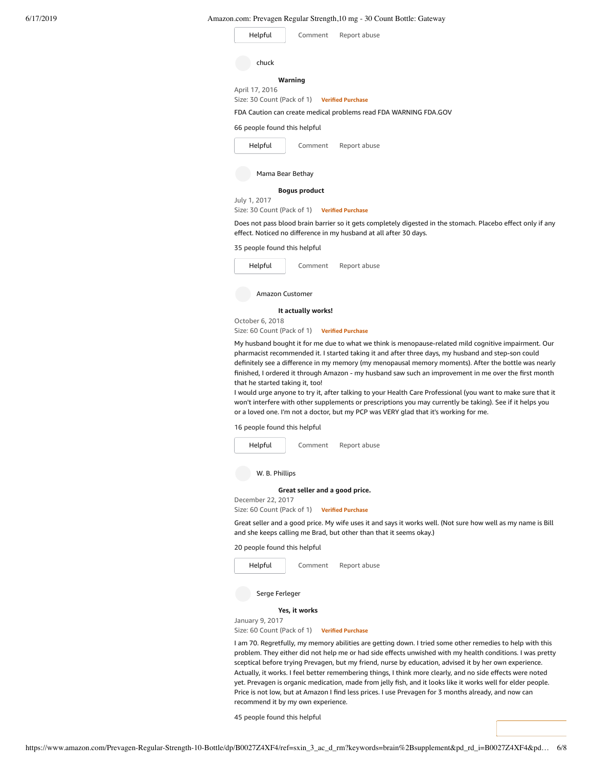| Helpful         | Amazon.com. I Tevagen Regular Strengur, To mg - 30 Count Doute. Gateway<br>Comment<br>Report abuse                                                                               |
|-----------------|----------------------------------------------------------------------------------------------------------------------------------------------------------------------------------|
| chuck           |                                                                                                                                                                                  |
| April 17, 2016  | Warning<br>Size: 30 Count (Pack of 1) Verified Purchase                                                                                                                          |
|                 | FDA Caution can create medical problems read FDA WARNING FDA.GOV                                                                                                                 |
|                 | 66 people found this helpful                                                                                                                                                     |
| Helpful         | Comment<br>Report abuse                                                                                                                                                          |
|                 | Mama Bear Bethay                                                                                                                                                                 |
|                 | <b>Boqus product</b>                                                                                                                                                             |
| July 1, 2017    | Size: 30 Count (Pack of 1) Verified Purchase                                                                                                                                     |
|                 | Does not pass blood brain barrier so it gets completely digested in the stomach. Placebo effect only if any<br>effect. Noticed no difference in my husband at all after 30 days. |
|                 | 35 people found this helpful                                                                                                                                                     |
| Helpful         | Comment<br>Report abuse                                                                                                                                                          |
|                 | Amazon Customer                                                                                                                                                                  |
|                 | It actually works!                                                                                                                                                               |
| October 6, 2018 |                                                                                                                                                                                  |

Size: 60 Count (Pack of 1) **Verified Purchase**

My husband bought it for me due to what we think is menopause-related mild cognitive impairment. Our pharmacist recommended it. I started taking it and after three days, my husband and step-son could definitely see a difference in my memory (my menopausal memory moments). After the bottle was nearly finished, I ordered it through Amazon - my husband saw such an improvement in me over the first month that he started taking it, too!

I would urge anyone to try it, after talking to your Health Care Professional (you want to make sure that it won't interfere with other supplements or prescriptions you may currently be taking). See if it helps you or a loved one. I'm not a doctor, but my PCP was VERY glad that it's working for me.

16 people found this helpful



W. B. Phillips

December 22, 2017

**[Great](https://www.amazon.com/gp/customer-reviews/RQQ6BFEWNR3V5/ref=cm_cr_dp_d_rvw_ttl?ie=UTF8&ASIN=B0027Z4XF4) seller and a good price.**

Size: 60 Count (Pack of 1) **Verified Purchase**

Great seller and a good price. My wife uses it and says it works well. (Not sure how well as my name is Bill and she keeps calling me Brad, but other than that it seems okay.)

20 people found this helpful



January 9, 2017

Size: 60 Count (Pack of 1) **Verified Purchase**

I am 70. Regretfully, my memory abilities are getting down. I tried some other remedies to help with this problem. They either did not help me or had side effects unwished with my health conditions. I was pretty sceptical before trying Prevagen, but my friend, nurse by education, advised it by her own experience. Actually, it works. I feel better remembering things, I think more clearly, and no side effects were noted yet. Prevagen is organic medication, made from jelly fish, and it looks like it works well for elder people. Price is not low, but at Amazon I find less prices. I use Prevagen for 3 months already, and now can recommend it by my own experience.

45 people found this helpful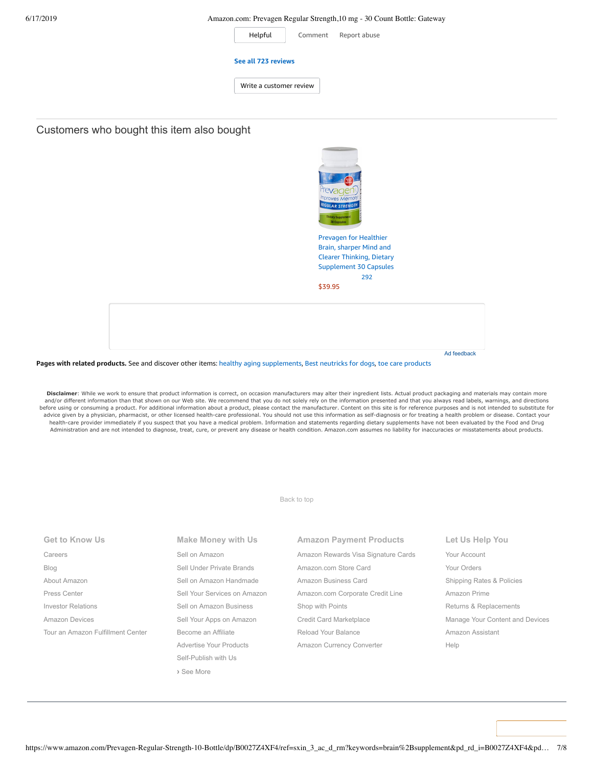| Helpful                 | Comment | Report abuse |
|-------------------------|---------|--------------|
| See all 723 reviews     |         |              |
| Write a customer review |         |              |
|                         |         |              |

# Customers who bought this item also bought



Prevagen for Healthier Brain, sharper Mind and Clearer Thinking, Dietary [Supplement](https://www.amazon.com/Prevagen-healthier-thinking-Supplement-Capsules/dp/B0054RU3Q0/ref=pd_sim_121_1/143-6729050-3493109?_encoding=UTF8&pd_rd_i=B0054RU3Q0&pd_rd_r=75d72624-910c-11e9-87dc-e12861f2692e&pd_rd_w=1zS2C&pd_rd_wg=YCOYQ&pf_rd_p=90485860-83e9-4fd9-b838-b28a9b7fda30&pf_rd_r=W4WN4X9V3441APS5AYZT&psc=1&refRID=W4WN4X9V3441APS5AYZT) 30 Capsules [292](https://www.amazon.com/product-reviews/B0054RU3Q0/ref=pd_sim_121_cr_1/143-6729050-3493109?ie=UTF8&pd_rd_i=B0054RU3Q0&pd_rd_r=75d72624-910c-11e9-87dc-e12861f2692e&pd_rd_w=1zS2C&pd_rd_wg=YCOYQ&pf_rd_p=90485860-83e9-4fd9-b838-b28a9b7fda30&pf_rd_r=W4WN4X9V3441APS5AYZT&refRID=W4WN4X9V3441APS5AYZT)

Ad feedback

[\\$39.95](https://www.amazon.com/Prevagen-healthier-thinking-Supplement-Capsules/dp/B0054RU3Q0/ref=pd_sim_121_1/143-6729050-3493109?_encoding=UTF8&pd_rd_i=B0054RU3Q0&pd_rd_r=75d72624-910c-11e9-87dc-e12861f2692e&pd_rd_w=1zS2C&pd_rd_wg=YCOYQ&pf_rd_p=90485860-83e9-4fd9-b838-b28a9b7fda30&pf_rd_r=W4WN4X9V3441APS5AYZT&psc=1&refRID=W4WN4X9V3441APS5AYZT)

**Pages with related products.** See and discover other items: healthy aging [supplements](https://www.amazon.com/slp/healthy-aging-supplements/decb8ytozkjj36k?_encoding=UTF8&ref_=fs_blw_d_clp_1), Best [neutricks](https://www.amazon.com/customerpicks/Best-neutricks-for-dogs/1cf36c756e6d7881c9d5?_encoding=UTF8&ref_=fs_blw_d_customerpicks_2) for dogs, toe care [products](https://www.amazon.com/slp/toe-care-products/esgse8k5744n5zq?_encoding=UTF8&ref_=fs_blw_d_clp_3)

Disclaimer: While we work to ensure that product information is correct, on occasion manufacturers may alter their ingredient lists. Actual product packaging and materials may contain more and/or different information than that shown on our Web site. We recommend that you do not solely rely on the information presented and that you always read labels, warnings, and directions before using or consuming a product. For additional information about a product, please contact the manufacturer. Content on this site is for reference purposes and is not intended to substitute for advice given by a physician, pharmacist, or other licensed health-care professional. You should not use this information as self-diagnosis or for treating a health problem or disease. Contact your healthcare provider immediately if you suspect that you have a medical problem. Information and statements regarding dietary supplements have not been evaluated by the Food and Drug Administration and are not intended to diagnose, treat, cure, or prevent any disease or health condition. Amazon.com assumes no liability for inaccuracies or misstatements about products.

#### [Back to top](#page-0-0)

| <b>Get to Know Us</b>             | <b>Make Money with Us</b>    | <b>Amazon Payment Products</b>      | Let Us Help You                 |
|-----------------------------------|------------------------------|-------------------------------------|---------------------------------|
| Careers                           | Sell on Amazon               | Amazon Rewards Visa Signature Cards | Your Account                    |
| Blog                              | Sell Under Private Brands    | Amazon.com Store Card               | Your Orders                     |
| About Amazon                      | Sell on Amazon Handmade      | Amazon Business Card                | Shipping Rates & Policies       |
| Press Center                      | Sell Your Services on Amazon | Amazon.com Corporate Credit Line    | Amazon Prime                    |
| <b>Investor Relations</b>         | Sell on Amazon Business      | Shop with Points                    | Returns & Replacements          |
| Amazon Devices                    | Sell Your Apps on Amazon     | Credit Card Marketplace             | Manage Your Content and Devices |
| Tour an Amazon Fulfillment Center | Become an Affiliate          | Reload Your Balance                 | Amazon Assistant                |
|                                   | Advertise Your Products      | Amazon Currency Converter           | Help                            |
|                                   | Self-Publish with Us         |                                     |                                 |
|                                   | > See More                   |                                     |                                 |